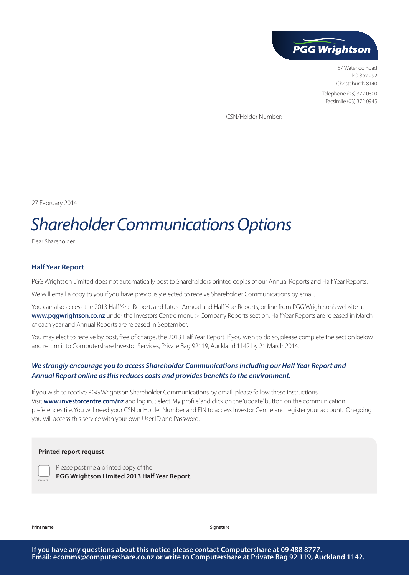

57 Waterloo Road PO Box 292 Christchurch 8140 Telephone (03) 372 0800 Facsimile (03) 372 0945

CSN/Holder Number:

27 February 2014

# *Shareholder Communications Options*

Dear Shareholder

#### **Half Year Report**

PGG Wrightson Limited does not automatically post to Shareholders printed copies of our Annual Reports and Half Year Reports.

We will email a copy to you if you have previously elected to receive Shareholder Communications by email.

You can also access the 2013 Half Year Report, and future Annual and Half Year Reports, online from PGG Wrightson's website at **www.pggwrightson.co.nz** under the Investors Centre menu > Company Reports section. Half Year Reports are released in March of each year and Annual Reports are released in September.

You may elect to receive by post, free of charge, the 2013 Half Year Report. If you wish to do so, please complete the section below and return it to Computershare Investor Services, Private Bag 92119, Auckland 1142 by 21 March 2014.

### *We strongly encourage you to access Shareholder Communications including our Half Year Report and Annual Report online as this reduces costs and provides benefits to the environment.*

If you wish to receive PGG Wrightson Shareholder Communications by email, please follow these instructions. Visit **www.investorcentre.com/nz** and log in. Select 'My profile' and click on the 'update' button on the communication preferences tile. You will need your CSN or Holder Number and FIN to access Investor Centre and register your account. On-going you will access this service with your own User ID and Password.

#### **Printed report request**

*Please tick*

Please post me a printed copy of the **PGG Wrightson Limited 2013 Half Year Report**.

**Print name Signature**